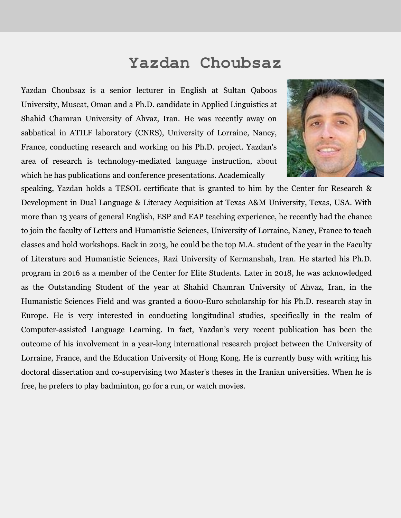## **Yazdan Choubsaz**

Yazdan Choubsaz is a senior lecturer in English at Sultan Qaboos University, Muscat, Oman and a Ph.D. candidate in Applied Linguistics at Shahid Chamran University of Ahvaz, Iran. He was recently away on sabbatical in ATILF laboratory (CNRS), University of Lorraine, Nancy, France, conducting research and working on his Ph.D. project. Yazdan's area of research is technology-mediated language instruction, about which he has publications and conference presentations. Academically



speaking, Yazdan holds a TESOL certificate that is granted to him by the Center for Research & Development in Dual Language & Literacy Acquisition at Texas A&M University, Texas, USA. With more than 13 years of general English, ESP and EAP teaching experience, he recently had the chance to join the faculty of Letters and Humanistic Sciences, University of Lorraine, Nancy, France to teach classes and hold workshops. Back in 2013, he could be the top M.A. student of the year in the Faculty of Literature and Humanistic Sciences, Razi University of Kermanshah, Iran. He started his Ph.D. program in 2016 as a member of the Center for Elite Students. Later in 2018, he was acknowledged as the Outstanding Student of the year at Shahid Chamran University of Ahvaz, Iran, in the Humanistic Sciences Field and was granted a 6000-Euro scholarship for his Ph.D. research stay in Europe. He is very interested in conducting longitudinal studies, specifically in the realm of Computer-assisted Language Learning. In fact, Yazdan's very recent publication has been the outcome of his involvement in a year-long international research project between the University of Lorraine, France, and the Education University of Hong Kong. He is currently busy with writing his doctoral dissertation and co-supervising two Master's theses in the Iranian universities. When he is free, he prefers to play badminton, go for a run, or watch movies.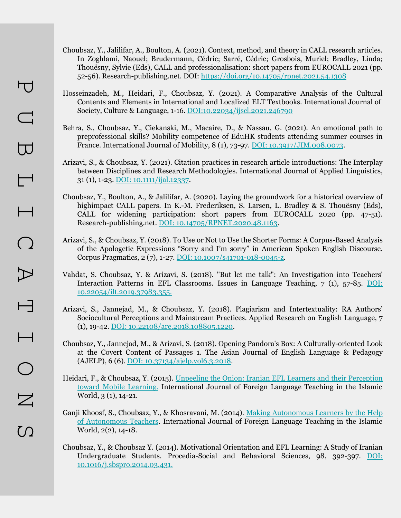- Choubsaz, Y., Jalilifar, A., Boulton, A. (2021). Context, method, and theory in CALL research articles. In Zoghlami, Naouel; Brudermann, Cédric; Sarré, Cédric; Grosbois, Muriel; Bradley, Linda; Thouësny, Sylvie (Eds), CALL and professionalisation: short papers from EUROCALL 2021 (pp. 52-56). Research-publishing.net. DOI:<https://doi.org/10.14705/rpnet.2021.54.1308>
- Hosseinzadeh, M., Heidari, F., Choubsaz, Y. (2021). A Comparative Analysis of the Cultural Contents and Elements in International and Localized ELT Textbooks. International Journal of Society, Culture & Language, 1-16. [DOI:10.22034/ijscl.2021.246790](http://www.ijscl.net/article_246790.html)
- Behra, S., Choubsaz, Y., Ciekanski, M., Macaire, D., & Nassau, G. (2021). An emotional path to preprofessional skills? Mobility competence of EduHK students attending summer courses in France. International Journal of Mobility, 8 (1), 73-97. [DOI: 10.3917/JIM.008.0073](https://www.cairn.info/revue-journal-of-international-mobility-2020-1-page-73.htm).
- Arizavi, S., & Choubsaz, Y. (2021). Citation practices in research article introductions: The Interplay between Disciplines and Research Methodologies. International Journal of Applied Linguistics, 31 (1), 1-23. [DOI: 10.1111/ijal.12337.](https://onlinelibrary.wiley.com/doi/10.1111/ijal.12337)
- Choubsaz, Y., Boulton, A., & Jalilifar, A. (2020). Laying the groundwork for a historical overview of highimpact CALL papers. In K.-M. Frederiksen, S. Larsen, L. Bradley & S. Thouësny (Eds), CALL for widening participation: short papers from EUROCALL 2020 (pp. 47-51). Research-publishing.net. [DOI: 10.14705/RPNET.2020.48.1163.](https://www.researchgate.net/publication/346975601_Laying_the_groundwork_for_a_historical_overview_of_high-impact_CALL_papers)
- Arizavi, S., & Choubsaz, Y. (2018). To Use or Not to Use the Shorter Forms: A Corpus-Based Analysis of the Apologetic Expressions "Sorry and I'm sorry" in American Spoken English Discourse. Corpus Pragmatics, 2 (7), 1-27. [DOI: 10.1007/s41701-018-0045-z](https://link.springer.com/article/10.1007/s41701-018-0045-z).
- Vahdat, S. Choubsaz, Y. & Arizavi, S. (2018). "But let me talk": An Investigation into Teachers' Interaction Patterns in EFL Classrooms. Issues in Language Teaching, 7 (1), 57-85. [DOI:](https://ilt.atu.ac.ir/article_10215.html) [10.22054/ilt.2019.37983.355.](https://ilt.atu.ac.ir/article_10215.html)
- Arizavi, S., Jannejad, M., & Choubsaz, Y. (2018). Plagiarism and Intertextuality: RA Authors' Sociocultural Perceptions and Mainstream Practices. Applied Research on English Language, 7 (1), 19-42. [DOI: 10.22108/are.2018.108805.1220.](https://are.ui.ac.ir/article_22772.html)
- Choubsaz, Y., Jannejad, M., & Arizavi, S. (2018). Opening Pandora's Box: A Culturally-oriented Look at the Covert Content of Passages 1. The Asian Journal of English Language & Pedagogy (AJELP), 6 (6). [DOI: 10.37134/ajelp.vol6.3.2018.](https://ejournal.upsi.edu.my/index.php/AJELP/article/view/1279)
- Heidari, F., & Choubsaz, Y. (2015). [Unpeeling the Onion: Iranian EFL Learners and their Perception](https://drive.google.com/file/d/1fHNZ4O3EdrH8psKjXxVFdbcLjZRdSoUN/view?usp=sharing) [toward Mobile Learning.](https://drive.google.com/file/d/1fHNZ4O3EdrH8psKjXxVFdbcLjZRdSoUN/view?usp=sharing) International Journal of Foreign Language Teaching in the Islamic World, 3 (1), 14-21.
- Ganji Khoosf, S., Choubsaz, Y., & Khosravani, M. (2014). [Making Autonomous Learners by the Help](https://drive.google.com/file/d/1lvmVeLw-YVfpyEsFKmxob5Z3IXwkBPTj/view?usp=sharing) [of Autonomous Teachers.](https://drive.google.com/file/d/1lvmVeLw-YVfpyEsFKmxob5Z3IXwkBPTj/view?usp=sharing) International Journal of Foreign Language Teaching in the Islamic World, 2(2), 14-18.
- Choubsaz, Y., & Choubsaz Y. (2014). Motivational Orientation and EFL Learning: A Study of Iranian Undergraduate Students. Procedia-Social and Behavioral Sciences, 98, 392-397. [DOI:](https://www.sciencedirect.com/science/article/pii/S1877042814025221) [10.1016/j.sbspro.2014.03.431.](https://www.sciencedirect.com/science/article/pii/S1877042814025221)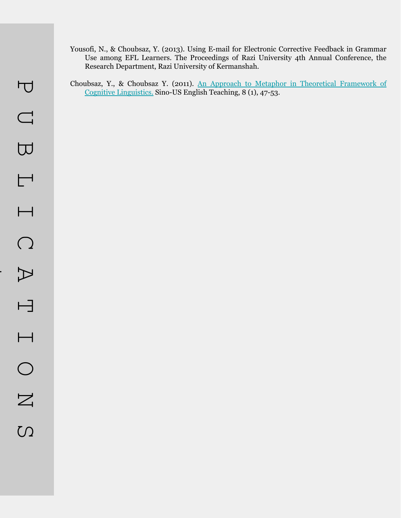- Yousofi, N., & Choubsaz, Y. (2013). Using E-mail for Electronic Corrective Feedback in Grammar Use among EFL Learners. The Proceedings of Razi University 4th Annual Conference, the Research Department, Razi University of Kermanshah.
- Choubsaz, Y., & Choubsaz Y. (2011). [An Approach to Metaphor in Theoretical Framework of](https://drive.google.com/file/d/1zDM7Jao8yDYpnd3qTGke4e4k4Svk9t4t/view?usp=sharing) [Cognitive Linguistics.](https://drive.google.com/file/d/1zDM7Jao8yDYpnd3qTGke4e4k4Svk9t4t/view?usp=sharing) Sino-US English Teaching, 8 (1), 47-53.

cont.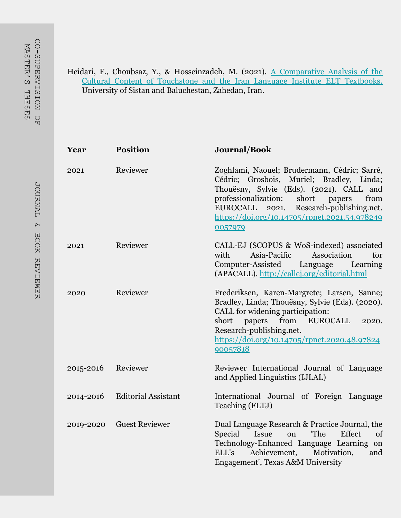## Heidari, F., Choubsaz, Y., & Hosseinzadeh, M. (2021). [A Comparative Analysis of the](http://www.ijscl.net/article_246790.html) [Cultural Content of Touchstone and the Iran Language Institute ELT Textbooks.](http://www.ijscl.net/article_246790.html) University of Sistan and Baluchestan, Zahedan, Iran.

| Year      | <b>Position</b>            | Journal/Book                                                                                                                                                                                                                                                                                    |
|-----------|----------------------------|-------------------------------------------------------------------------------------------------------------------------------------------------------------------------------------------------------------------------------------------------------------------------------------------------|
| 2021      | Reviewer                   | Zoghlami, Naouel; Brudermann, Cédric; Sarré,<br>Cédric; Grosbois, Muriel; Bradley, Linda;<br>Thouësny, Sylvie (Eds). (2021). CALL and<br>professionalization:<br>short papers<br>from<br>Research-publishing.net.<br>EUROCALL 2021.<br>https://doi.org/10.14705/rpnet.2021.54.978249<br>0057979 |
| 2021      | Reviewer                   | CALL-EJ (SCOPUS & WoS-indexed) associated<br>Association<br>with<br>Asia-Pacific<br>for<br>Computer-Assisted<br>Language<br>Learning<br>(APACALL). http://callej.org/editorial.html                                                                                                             |
| 2020      | Reviewer                   | Frederiksen, Karen-Margrete; Larsen, Sanne;<br>Bradley, Linda; Thouësny, Sylvie (Eds). (2020).<br>CALL for widening participation:<br>papers from EUROCALL<br>short<br>2020.<br>Research-publishing.net.<br>https://doi.org/10.14705/rpnet.2020.48.97824<br>90057818                            |
| 2015-2016 | Reviewer                   | Reviewer International Journal of Language<br>and Applied Linguistics (IJLAL)                                                                                                                                                                                                                   |
| 2014-2016 | <b>Editorial Assistant</b> | International Journal of Foreign Language<br>Teaching (FLTJ)                                                                                                                                                                                                                                    |
| 2019-2020 | <b>Guest Reviewer</b>      | Dual Language Research & Practice Journal, the<br>'The<br>Effect<br>Special<br><b>Issue</b><br>on<br>of<br>Technology-Enhanced Language Learning on<br>Achievement,<br>Motivation,<br>ELL's<br>and<br>Engagement', Texas A&M University                                                         |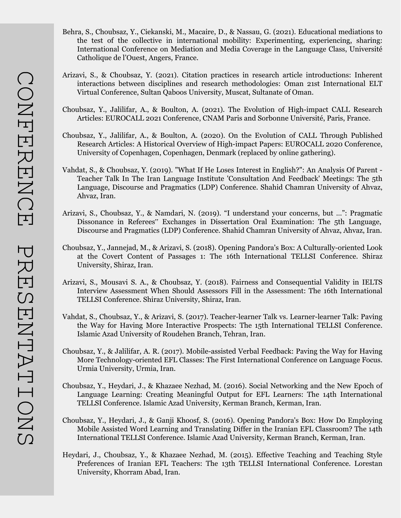- Behra, S., Choubsaz, Y., Ciekanski, M., Macaire, D., & Nassau, G. (2021). Educational mediations to the test of the collective in international mobility: Experimenting, experiencing, sharing: International Conference on Mediation and Media Coverage in the Language Class, Université Catholique de l'Ouest, Angers, France.
- Arizavi, S., & Choubsaz, Y. (2021). Citation practices in research article introductions: Inherent interactions between disciplines and research methodologies: Oman 21st International ELT Virtual Conference, Sultan Qaboos University, Muscat, Sultanate of Oman.
- Choubsaz, Y., Jalilifar, A., & Boulton, A. (2021). The Evolution of High-impact CALL Research Articles: EUROCALL 2021 Conference, CNAM Paris and Sorbonne Université, Paris, France.
- Choubsaz, Y., Jalilifar, A., & Boulton, A. (2020). On the Evolution of CALL Through Published Research Articles: A Historical Overview of High-impact Papers: EUROCALL 2020 Conference, University of Copenhagen, Copenhagen, Denmark (replaced by online gathering).
- Vahdat, S., & Choubsaz, Y. (2019). "What If He Loses Interest in English?": An Analysis Of Parent Teacher Talk In The Iran Language Institute 'Consultation And Feedback' Meetings: The 5th Language, Discourse and Pragmatics (LDP) Conference. Shahid Chamran University of Ahvaz, Ahvaz, Iran.
- Arizavi, S., Choubsaz, Y., & Namdari, N. (2019). "I understand your concerns, but …": Pragmatic Dissonance in Referees" Exchanges in Dissertation Oral Examination: The 5th Language, Discourse and Pragmatics (LDP) Conference. Shahid Chamran University of Ahvaz, Ahvaz, Iran.
- Choubsaz, Y., Jannejad, M., & Arizavi, S. (2018). Opening Pandora's Box: A Culturally-oriented Look at the Covert Content of Passages 1: The 16th International TELLSI Conference. Shiraz University, Shiraz, Iran.
- Arizavi, S., Mousavi S. A., & Choubsaz, Y. (2018). Fairness and Consequential Validity in IELTS Interview Assessment When Should Assessors Fill in the Assessment: The 16th International TELLSI Conference. Shiraz University, Shiraz, Iran.
- Vahdat, S., Choubsaz, Y., & Arizavi, S. (2017). Teacher-learner Talk vs. Learner-learner Talk: Paving the Way for Having More Interactive Prospects: The 15th International TELLSI Conference. Islamic Azad University of Roudehen Branch, Tehran, Iran.
- Choubsaz, Y., & Jalilifar, A. R. (2017). Mobile-assisted Verbal Feedback: Paving the Way for Having More Technology-oriented EFL Classes: The First International Conference on Language Focus. Urmia University, Urmia, Iran.
- Choubsaz, Y., Heydari, J., & Khazaee Nezhad, M. (2016). Social Networking and the New Epoch of Language Learning: Creating Meaningful Output for EFL Learners: The 14th International TELLSI Conference. Islamic Azad University, Kerman Branch, Kerman, Iran.
- Choubsaz, Y., Heydari, J., & Ganji Khoosf, S. (2016). Opening Pandora's Box: How Do Employing Mobile Assisted Word Learning and Translating Differ in the Iranian EFL Classroom? The 14th International TELLSI Conference. Islamic Azad University, Kerman Branch, Kerman, Iran.
- Heydari, J., Choubsaz, Y., & Khazaee Nezhad, M. (2015). Effective Teaching and Teaching Style Preferences of Iranian EFL Teachers: The 13th TELLSI International Conference. Lorestan University, Khorram Abad, Iran.